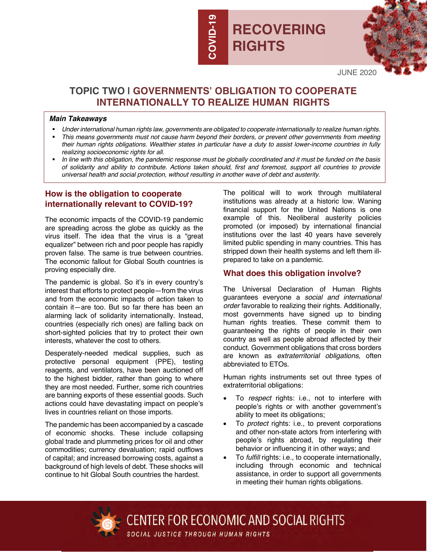# **RECOVERING RIGHTS**



JUNE 2020

## **TOPIC TWO | GOVERNMENTS' OBLIGATION TO COOPERATE INTERNATIONALLY TO REALIZE HUMAN RIGHTS**

**COVID-19**

**COVID-1** 

#### *Main Takeaways*

- § *Under international human rights law, governments are obligated to cooperate internationally to realize human rights.*
- § *This means governments must not cause harm beyond their borders, or prevent other governments from meeting their human rights obligations. Wealthier states in particular have a duty to assist lower-income countries in fully realizing socioeconomic rights for all.*
- § *In line with this obligation, the pandemic response must be globally coordinated and it must be funded on the basis of solidarity and ability to contribute. Actions taken should, first and foremost, support all countries to provide universal health and social protection, without resulting in another wave of debt and austerity.*

### **How is the obligation to cooperate internationally relevant to COVID-19?**

The economic impacts of the COVID-19 pandemic are spreading across the globe as quickly as the virus itself. The idea that the virus is a "great equalizer" between rich and poor people has rapidly proven false. The same is true between countries. The economic fallout for Global South countries is proving especially dire.

The pandemic is global. So it's in every country's interest that efforts to protect people—from the virus and from the economic impacts of action taken to contain it—are too. But so far there has been an alarming lack of solidarity internationally. Instead, countries (especially rich ones) are falling back on short-sighted policies that try to protect their own interests, whatever the cost to others.

Desperately-needed medical supplies, such as protective personal equipment (PPE), testing reagents, and ventilators, have been auctioned off to the highest bidder, rather than going to where they are most needed. Further, some rich countries are banning exports of these essential goods. Such actions could have devastating impact on people's lives in countries reliant on those imports.

The pandemic has been accompanied by a cascade of economic shocks. These include collapsing global trade and plummeting prices for oil and other commodities; currency devaluation; rapid outflows of capital; and increased borrowing costs, against a background of high levels of debt. These shocks will continue to hit Global South countries the hardest.

The political will to work through multilateral institutions was already at a historic low. Waning financial support for the United Nations is one example of this. Neoliberal austerity policies promoted (or imposed) by international financial institutions over the last 40 years have severely limited public spending in many countries. This has stripped down their health systems and left them illprepared to take on a pandemic.

## **What does this obligation involve?**

The Universal Declaration of Human Rights guarantees everyone a *social and international order* favorable to realizing their rights. Additionally, most governments have signed up to binding human rights treaties. These commit them to guaranteeing the rights of people in their own country as well as people abroad affected by their conduct. Government obligations that cross borders are known as *extraterritorial obligations,* often abbreviated to ETOs.

Human rights instruments set out three types of extraterritorial obligations:

- To *respect* rights: i.e., not to interfere with people's rights or with another government's ability to meet its obligations;
- To *protect* rights: i.e., to prevent corporations and other non-state actors from interfering with people's rights abroad, by regulating their behavior or influencing it in other ways; and
- To *fulfill* rights: i.e., to cooperate internationally, including through economic and technical assistance, in order to support all governments in meeting their human rights obligations.



**CENTER FOR ECONOMIC AND SOCIAL RIGHTS** SOCIAL JUSTICE THROUGH HUMAN RIGHTS